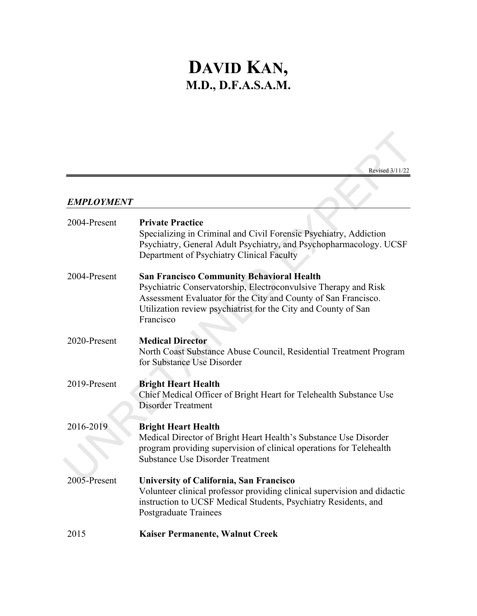# **DAVID KAN, M.D., D.F.A.S.A.M.**

### *EMPLOYMENT*

|                   | Revised 3/11/22                                                                                                                                                                                                                                                      |
|-------------------|----------------------------------------------------------------------------------------------------------------------------------------------------------------------------------------------------------------------------------------------------------------------|
| <b>EMPLOYMENT</b> |                                                                                                                                                                                                                                                                      |
| 2004-Present      | <b>Private Practice</b><br>Specializing in Criminal and Civil Forensic Psychiatry, Addiction<br>Psychiatry, General Adult Psychiatry, and Psychopharmacology. UCSF<br>Department of Psychiatry Clinical Faculty                                                      |
| 2004-Present      | <b>San Francisco Community Behavioral Health</b><br>Psychiatric Conservatorship, Electroconvulsive Therapy and Risk<br>Assessment Evaluator for the City and County of San Francisco.<br>Utilization review psychiatrist for the City and County of San<br>Francisco |
| 2020-Present      | <b>Medical Director</b><br>North Coast Substance Abuse Council, Residential Treatment Program<br>for Substance Use Disorder                                                                                                                                          |
| 2019-Present      | <b>Bright Heart Health</b><br>Chief Medical Officer of Bright Heart for Telehealth Substance Use<br><b>Disorder Treatment</b>                                                                                                                                        |
| 2016-2019         | <b>Bright Heart Health</b><br>Medical Director of Bright Heart Health's Substance Use Disorder<br>program providing supervision of clinical operations for Telehealth<br><b>Substance Use Disorder Treatment</b>                                                     |
| 2005-Present      | University of California, San Francisco<br>Volunteer clinical professor providing clinical supervision and didactic<br>instruction to UCSF Medical Students, Psychiatry Residents, and<br>Postgraduate Trainees                                                      |
| 2015              | Kaiser Permanente, Walnut Creek                                                                                                                                                                                                                                      |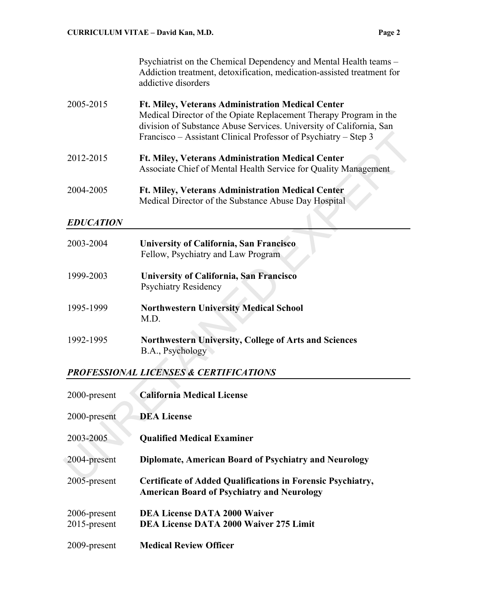Psychiatrist on the Chemical Dependency and Mental Health teams – Addiction treatment, detoxification, medication-assisted treatment for addictive disorders

- 2005-2015 **Ft. Miley, Veterans Administration Medical Center** Medical Director of the Opiate Replacement Therapy Program in the division of Substance Abuse Services. University of California, San Francisco – Assistant Clinical Professor of Psychiatry – Step 3
- 2012-2015 **Ft. Miley, Veterans Administration Medical Center** Associate Chief of Mental Health Service for Quality Management
- 2004-2005 **Ft. Miley, Veterans Administration Medical Center** Medical Director of the Substance Abuse Day Hospital

#### *EDUCATION*

|                  | Francisco – Assistant Clinical Professor of Psychiatry – Step 3                                                             |
|------------------|-----------------------------------------------------------------------------------------------------------------------------|
| 2012-2015        | <b>Ft. Miley, Veterans Administration Medical Center</b><br>Associate Chief of Mental Health Service for Quality Management |
| 2004-2005        | <b>Ft. Miley, Veterans Administration Medical Center</b><br>Medical Director of the Substance Abuse Day Hospital            |
| <b>EDUCATION</b> |                                                                                                                             |
| 2003-2004        | <b>University of California, San Francisco</b><br>Fellow, Psychiatry and Law Program                                        |
| 1999-2003        | <b>University of California, San Francisco</b><br><b>Psychiatry Residency</b>                                               |
| 1995-1999        | <b>Northwestern University Medical School</b><br>M.D.                                                                       |
| 1992-1995        | Northwestern University, College of Arts and Sciences<br>B.A., Psychology                                                   |
|                  | PROFESSIONAL LICENSES & CERTIFICATIONS                                                                                      |
| 2000-present     | <b>California Medical License</b>                                                                                           |
| 2000-present     | <b>DEA License</b>                                                                                                          |
| 2003-2005        | <b>Qualified Medical Examiner</b>                                                                                           |
| 2004-present     | <b>Diplomate, American Board of Psychiatry and Neurology</b>                                                                |
| $2005$ -present  | Certificate of Added Qualifications in Forensic Psychiatry                                                                  |

# *PROFESSIONAL LICENSES & CERTIFICATIONS*

| 2000-present                    | <b>California Medical License</b>                                                                                       |
|---------------------------------|-------------------------------------------------------------------------------------------------------------------------|
| 2000-present                    | <b>DEA License</b>                                                                                                      |
| 2003-2005                       | <b>Qualified Medical Examiner</b>                                                                                       |
| 2004-present                    | <b>Diplomate, American Board of Psychiatry and Neurology</b>                                                            |
| 2005-present                    | <b>Certificate of Added Qualifications in Forensic Psychiatry,</b><br><b>American Board of Psychiatry and Neurology</b> |
| 2006-present<br>$2015$ -present | <b>DEA License DATA 2000 Waiver</b><br><b>DEA License DATA 2000 Waiver 275 Limit</b>                                    |
| 2009-present                    | <b>Medical Review Officer</b>                                                                                           |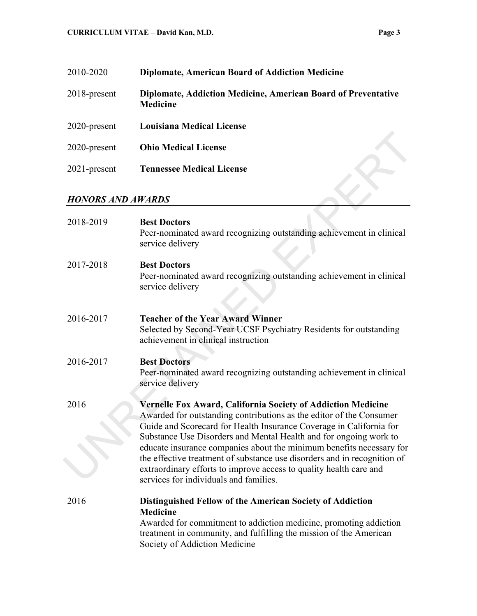| 2010-2020       | <b>Diplomate, American Board of Addiction Medicine</b>                                  |
|-----------------|-----------------------------------------------------------------------------------------|
| $2018$ -present | <b>Diplomate, Addiction Medicine, American Board of Preventative</b><br><b>Medicine</b> |
| $2020$ -present | <b>Louisiana Medical License</b>                                                        |
| 2020-present    | <b>Ohio Medical License</b>                                                             |
| $2021$ -present | <b>Tennessee Medical License</b>                                                        |

# *HONORS AND AWARDS*

| 2020-present             | <b>Ohio Medical License</b>                                                                                                                                                                                                                                                                                                                                                                                                                                                                                                                                |
|--------------------------|------------------------------------------------------------------------------------------------------------------------------------------------------------------------------------------------------------------------------------------------------------------------------------------------------------------------------------------------------------------------------------------------------------------------------------------------------------------------------------------------------------------------------------------------------------|
| 2021-present             | <b>Tennessee Medical License</b>                                                                                                                                                                                                                                                                                                                                                                                                                                                                                                                           |
|                          |                                                                                                                                                                                                                                                                                                                                                                                                                                                                                                                                                            |
| <b>HONORS AND AWARDS</b> |                                                                                                                                                                                                                                                                                                                                                                                                                                                                                                                                                            |
| 2018-2019                | <b>Best Doctors</b><br>Peer-nominated award recognizing outstanding achievement in clinical<br>service delivery                                                                                                                                                                                                                                                                                                                                                                                                                                            |
| 2017-2018                | <b>Best Doctors</b><br>Peer-nominated award recognizing outstanding achievement in clinical<br>service delivery                                                                                                                                                                                                                                                                                                                                                                                                                                            |
| 2016-2017                | <b>Teacher of the Year Award Winner</b><br>Selected by Second-Year UCSF Psychiatry Residents for outstanding<br>achievement in clinical instruction                                                                                                                                                                                                                                                                                                                                                                                                        |
| 2016-2017                | <b>Best Doctors</b><br>Peer-nominated award recognizing outstanding achievement in clinical<br>service delivery                                                                                                                                                                                                                                                                                                                                                                                                                                            |
| 2016                     | <b>Vernelle Fox Award, California Society of Addiction Medicine</b><br>Awarded for outstanding contributions as the editor of the Consumer<br>Guide and Scorecard for Health Insurance Coverage in California for<br>Substance Use Disorders and Mental Health and for ongoing work to<br>educate insurance companies about the minimum benefits necessary for<br>the effective treatment of substance use disorders and in recognition of<br>extraordinary efforts to improve access to quality health care and<br>services for individuals and families. |
| 2016                     | Distinguished Fellow of the American Society of Addiction<br><b>Medicine</b><br>Awarded for commitment to addiction medicine, promoting addiction<br>treatment in community, and fulfilling the mission of the American<br>Society of Addiction Medicine                                                                                                                                                                                                                                                                                                   |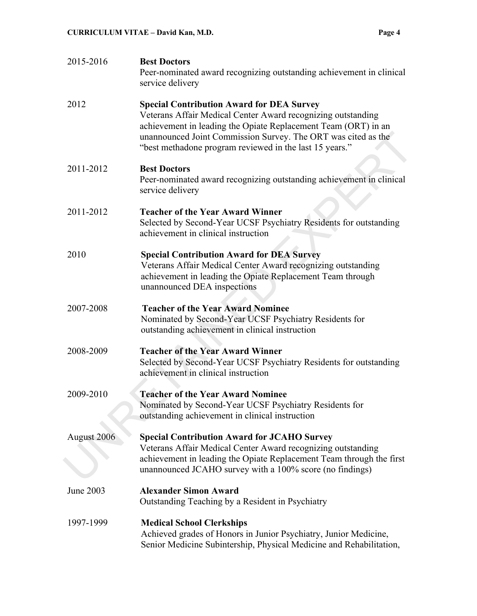| 2015-2016   | <b>Best Doctors</b><br>Peer-nominated award recognizing outstanding achievement in clinical<br>service delivery                                                                                                                                                                                                |
|-------------|----------------------------------------------------------------------------------------------------------------------------------------------------------------------------------------------------------------------------------------------------------------------------------------------------------------|
| 2012        | <b>Special Contribution Award for DEA Survey</b><br>Veterans Affair Medical Center Award recognizing outstanding<br>achievement in leading the Opiate Replacement Team (ORT) in an<br>unannounced Joint Commission Survey. The ORT was cited as the<br>"best methadone program reviewed in the last 15 years." |
| 2011-2012   | <b>Best Doctors</b><br>Peer-nominated award recognizing outstanding achievement in clinical<br>service delivery                                                                                                                                                                                                |
| 2011-2012   | <b>Teacher of the Year Award Winner</b><br>Selected by Second-Year UCSF Psychiatry Residents for outstanding<br>achievement in clinical instruction                                                                                                                                                            |
| 2010        | <b>Special Contribution Award for DEA Survey</b><br>Veterans Affair Medical Center Award recognizing outstanding<br>achievement in leading the Opiate Replacement Team through<br>unannounced DEA inspections                                                                                                  |
| 2007-2008   | <b>Teacher of the Year Award Nominee</b><br>Nominated by Second-Year UCSF Psychiatry Residents for<br>outstanding achievement in clinical instruction                                                                                                                                                          |
| 2008-2009   | <b>Teacher of the Year Award Winner</b><br>Selected by Second-Year UCSF Psychiatry Residents for outstanding<br>achievement in clinical instruction                                                                                                                                                            |
| 2009-2010   | <b>Teacher of the Year Award Nominee</b><br>Nominated by Second-Year UCSF Psychiatry Residents for<br>outstanding achievement in clinical instruction                                                                                                                                                          |
| August 2006 | <b>Special Contribution Award for JCAHO Survey</b><br>Veterans Affair Medical Center Award recognizing outstanding<br>achievement in leading the Opiate Replacement Team through the first<br>unannounced JCAHO survey with a 100% score (no findings)                                                         |
| June 2003   | <b>Alexander Simon Award</b><br>Outstanding Teaching by a Resident in Psychiatry                                                                                                                                                                                                                               |
| 1997-1999   | <b>Medical School Clerkships</b><br>Achieved grades of Honors in Junior Psychiatry, Junior Medicine,<br>Senior Medicine Subintership, Physical Medicine and Rehabilitation,                                                                                                                                    |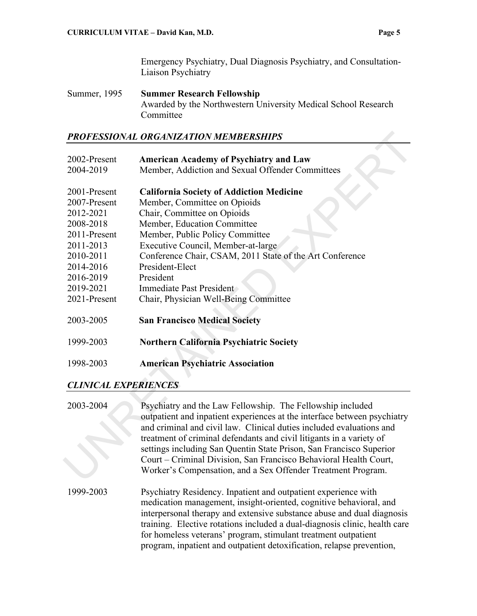Emergency Psychiatry, Dual Diagnosis Psychiatry, and Consultation-Liaison Psychiatry

Summer, 1995 **Summer Research Fellowship** Awarded by the Northwestern University Medical School Research Committee

#### *PROFESSIONAL ORGANIZATION MEMBERSHIPS*

|                             | PROFESSIONAL ORGANIZATION MEMBERSHIPS                                    |
|-----------------------------|--------------------------------------------------------------------------|
|                             |                                                                          |
| 2002-Present                | <b>American Academy of Psychiatry and Law</b>                            |
| 2004-2019                   | Member, Addiction and Sexual Offender Committees                         |
|                             |                                                                          |
| 2001-Present                | <b>California Society of Addiction Medicine</b>                          |
| 2007-Present                | Member, Committee on Opioids                                             |
| 2012-2021                   | Chair, Committee on Opioids                                              |
| 2008-2018                   | Member, Education Committee                                              |
| 2011-Present                | Member, Public Policy Committee                                          |
| 2011-2013                   | Executive Council, Member-at-large                                       |
| 2010-2011                   | Conference Chair, CSAM, 2011 State of the Art Conference                 |
| 2014-2016                   | President-Elect                                                          |
| 2016-2019                   | President                                                                |
| 2019-2021                   | Immediate Past President                                                 |
| 2021-Present                | Chair, Physician Well-Being Committee                                    |
|                             |                                                                          |
| 2003-2005                   | <b>San Francisco Medical Society</b>                                     |
|                             |                                                                          |
| 1999-2003                   | Northern California Psychiatric Society                                  |
|                             |                                                                          |
| 1998-2003                   | <b>American Psychiatric Association</b>                                  |
| <b>CLINICAL EXPERIENCES</b> |                                                                          |
|                             |                                                                          |
| 2003-2004                   | Psychiatry and the Law Fellowship. The Fellowship included               |
|                             | outpatient and inpatient experiences at the interface between psychiatry |
|                             | and criminal and civil law. Clinical duties included evaluations and     |
|                             | treatment of criminal defendants and civil litigants in a variety of     |
|                             | settings including San Quentin State Prison, San Francisco Superior      |
|                             | Court – Criminal Division, San Francisco Behavioral Health Court,        |
|                             | Worker's Compensation, and a Sex Offender Treatment Program.             |
|                             |                                                                          |

#### *CLINICAL EXPERIENCES*

2003-2004 Psychiatry and the Law Fellowship. The Fellowship included outpatient and inpatient experiences at the interface between psychiatry and criminal and civil law. Clinical duties included evaluations and treatment of criminal defendants and civil litigants in a variety of settings including San Quentin State Prison, San Francisco Superior Court – Criminal Division, San Francisco Behavioral Health Court, Worker's Compensation, and a Sex Offender Treatment Program. 1999-2003 Psychiatry Residency. Inpatient and outpatient experience with medication management, insight-oriented, cognitive behavioral, and interpersonal therapy and extensive substance abuse and dual diagnosis training. Elective rotations included a dual-diagnosis clinic, health care for homeless veterans' program, stimulant treatment outpatient program, inpatient and outpatient detoxification, relapse prevention,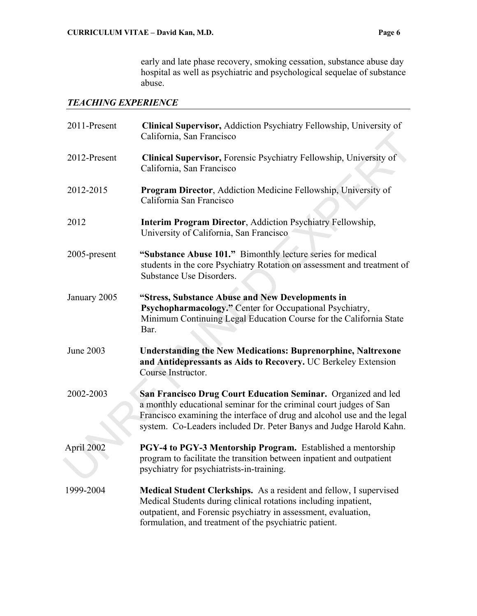early and late phase recovery, smoking cessation, substance abuse day hospital as well as psychiatric and psychological sequelae of substance abuse.

#### *TEACHING EXPERIENCE*

| 2011-Present | Clinical Supervisor, Addiction Psychiatry Fellowship, University of<br>California, San Francisco                                                                                                                                                                                     |
|--------------|--------------------------------------------------------------------------------------------------------------------------------------------------------------------------------------------------------------------------------------------------------------------------------------|
| 2012-Present | Clinical Supervisor, Forensic Psychiatry Fellowship, University of<br>California, San Francisco                                                                                                                                                                                      |
| 2012-2015    | <b>Program Director, Addiction Medicine Fellowship, University of</b><br>California San Francisco                                                                                                                                                                                    |
| 2012         | <b>Interim Program Director, Addiction Psychiatry Fellowship,</b><br>University of California, San Francisco                                                                                                                                                                         |
| 2005-present | "Substance Abuse 101." Bimonthly lecture series for medical<br>students in the core Psychiatry Rotation on assessment and treatment of<br>Substance Use Disorders.                                                                                                                   |
| January 2005 | "Stress, Substance Abuse and New Developments in<br>Psychopharmacology." Center for Occupational Psychiatry,<br>Minimum Continuing Legal Education Course for the California State<br>Bar.                                                                                           |
| June 2003    | <b>Understanding the New Medications: Buprenorphine, Naltrexone</b><br>and Antidepressants as Aids to Recovery. UC Berkeley Extension<br>Course Instructor.                                                                                                                          |
| 2002-2003    | San Francisco Drug Court Education Seminar. Organized and led<br>a monthly educational seminar for the criminal court judges of San<br>Francisco examining the interface of drug and alcohol use and the legal<br>system. Co-Leaders included Dr. Peter Banys and Judge Harold Kahn. |
| April 2002   | PGY-4 to PGY-3 Mentorship Program. Established a mentorship<br>program to facilitate the transition between inpatient and outpatient<br>psychiatry for psychiatrists-in-training.                                                                                                    |
| 1999-2004    | Medical Student Clerkships. As a resident and fellow, I supervised<br>Medical Students during clinical rotations including inpatient,<br>outpatient, and Forensic psychiatry in assessment, evaluation,<br>formulation, and treatment of the psychiatric patient.                    |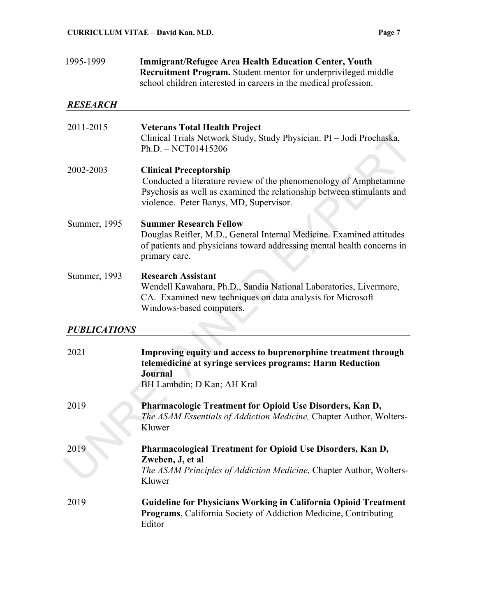#### 1995-1999 **Immigrant/Refugee Area Health Education Center, Youth Recruitment Program.** Student mentor for underprivileged middle school children interested in careers in the medical profession.

#### *RESEARCH*

| 2011-2015           | <b>Veterans Total Health Project</b><br>Clinical Trials Network Study, Study Physician. PI - Jodi Prochaska,<br>Ph.D. - NCT01415206                                                                                   |
|---------------------|-----------------------------------------------------------------------------------------------------------------------------------------------------------------------------------------------------------------------|
| 2002-2003           | <b>Clinical Preceptorship</b><br>Conducted a literature review of the phenomenology of Amphetamine<br>Psychosis as well as examined the relationship between stimulants and<br>violence. Peter Banys, MD, Supervisor. |
| Summer, 1995        | <b>Summer Research Fellow</b><br>Douglas Reifler, M.D., General Internal Medicine. Examined attitudes<br>of patients and physicians toward addressing mental health concerns in<br>primary care.                      |
| Summer, 1993        | <b>Research Assistant</b><br>Wendell Kawahara, Ph.D., Sandia National Laboratories, Livermore,<br>CA. Examined new techniques on data analysis for Microsoft<br>Windows-based computers.                              |
| <b>PUBLICATIONS</b> |                                                                                                                                                                                                                       |
| 2021                | Improving equity and access to buprenorphine treatment through<br>telemedicine at syringe services programs: Harm Reduction<br><b>Journal</b><br>BH Lambdin; D Kan; AH Kral                                           |
| 2019                | Pharmacologic Treatment for Opioid Use Disorders, Kan D,<br>The ASAM Essentials of Addiction Medicine, Chapter Author, Wolters-<br>Kluwer                                                                             |
| 2019                | Pharmacological Treatment for Opioid Use Disorders, Kan D,<br>Zweben, J, et al<br>The ASAM Principles of Addiction Medicine, Chapter Author, Wolters-<br>Kluwer                                                       |
| 2019                | Guideline for Physicians Working in California Opioid Treatment<br>Programs, California Society of Addiction Medicine, Contributing<br>Editor                                                                         |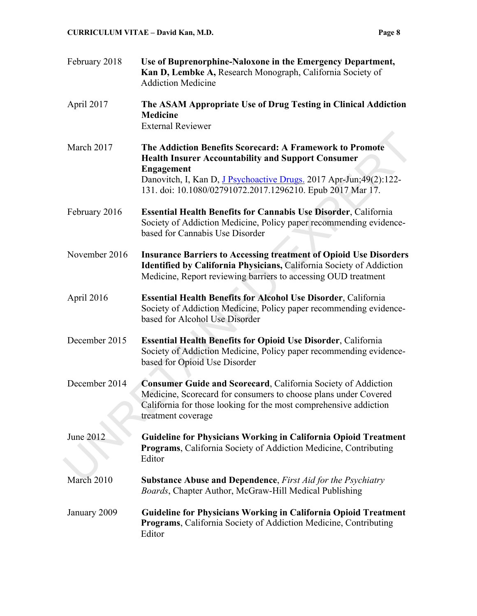| February 2018 | Use of Buprenorphine-Naloxone in the Emergency Department,<br>Kan D, Lembke A, Research Monograph, California Society of<br><b>Addiction Medicine</b>                                                                                                                            |
|---------------|----------------------------------------------------------------------------------------------------------------------------------------------------------------------------------------------------------------------------------------------------------------------------------|
| April 2017    | The ASAM Appropriate Use of Drug Testing in Clinical Addiction<br><b>Medicine</b><br><b>External Reviewer</b>                                                                                                                                                                    |
| March 2017    | The Addiction Benefits Scorecard: A Framework to Promote<br><b>Health Insurer Accountability and Support Consumer</b><br><b>Engagement</b><br>Danovitch, I, Kan D, J Psychoactive Drugs. 2017 Apr-Jun; 49(2): 122-<br>131. doi: 10.1080/02791072.2017.1296210. Epub 2017 Mar 17. |
| February 2016 | <b>Essential Health Benefits for Cannabis Use Disorder, California</b><br>Society of Addiction Medicine, Policy paper recommending evidence-<br>based for Cannabis Use Disorder                                                                                                  |
| November 2016 | <b>Insurance Barriers to Accessing treatment of Opioid Use Disorders</b><br>Identified by California Physicians, California Society of Addiction<br>Medicine, Report reviewing barriers to accessing OUD treatment                                                               |
| April 2016    | <b>Essential Health Benefits for Alcohol Use Disorder, California</b><br>Society of Addiction Medicine, Policy paper recommending evidence-<br>based for Alcohol Use Disorder                                                                                                    |
| December 2015 | Essential Health Benefits for Opioid Use Disorder, California<br>Society of Addiction Medicine, Policy paper recommending evidence-<br>based for Opioid Use Disorder                                                                                                             |
| December 2014 | Consumer Guide and Scorecard, California Society of Addiction<br>Medicine, Scorecard for consumers to choose plans under Covered<br>California for those looking for the most comprehensive addiction<br>treatment coverage                                                      |
| June 2012     | <b>Guideline for Physicians Working in California Opioid Treatment</b><br>Programs, California Society of Addiction Medicine, Contributing<br>Editor                                                                                                                             |
| March 2010    | <b>Substance Abuse and Dependence, First Aid for the Psychiatry</b><br>Boards, Chapter Author, McGraw-Hill Medical Publishing                                                                                                                                                    |
| January 2009  | <b>Guideline for Physicians Working in California Opioid Treatment</b><br><b>Programs, California Society of Addiction Medicine, Contributing</b><br>Editor                                                                                                                      |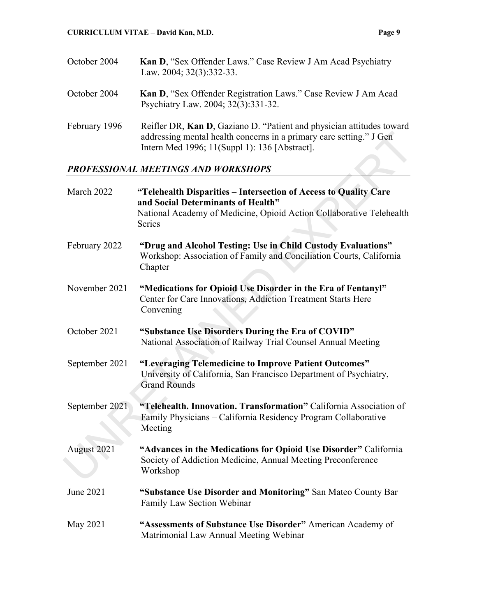| October 2004  | Kan D, "Sex Offender Laws." Case Review J Am Acad Psychiatry<br>Law. 2004; 32(3):332-33.                                                                                                      |
|---------------|-----------------------------------------------------------------------------------------------------------------------------------------------------------------------------------------------|
| October 2004  | Kan D, "Sex Offender Registration Laws." Case Review J Am Acad<br>Psychiatry Law. 2004; 32(3):331-32.                                                                                         |
| February 1996 | Reifler DR, Kan D, Gaziano D. "Patient and physician attitudes toward<br>addressing mental health concerns in a primary care setting." J Gen<br>Intern Med 1996; 11(Suppl 1): 136 [Abstract]. |

# *PROFESSIONAL MEETINGS AND WORKSHOPS*

|                | addressing mental health concerns in a primary care setting." J Gen<br>Intern Med 1996; 11(Suppl 1): 136 [Abstract].                                                                     |
|----------------|------------------------------------------------------------------------------------------------------------------------------------------------------------------------------------------|
|                | PROFESSIONAL MEETINGS AND WORKSHOPS                                                                                                                                                      |
| March 2022     | "Telehealth Disparities – Intersection of Access to Quality Care<br>and Social Determinants of Health"<br>National Academy of Medicine, Opioid Action Collaborative Telehealth<br>Series |
| February 2022  | "Drug and Alcohol Testing: Use in Child Custody Evaluations"<br>Workshop: Association of Family and Conciliation Courts, California<br>Chapter                                           |
| November 2021  | "Medications for Opioid Use Disorder in the Era of Fentanyl"<br>Center for Care Innovations, Addiction Treatment Starts Here<br>Convening                                                |
| October 2021   | "Substance Use Disorders During the Era of COVID"<br>National Association of Railway Trial Counsel Annual Meeting                                                                        |
| September 2021 | "Leveraging Telemedicine to Improve Patient Outcomes"<br>University of California, San Francisco Department of Psychiatry,<br><b>Grand Rounds</b>                                        |
| September 2021 | "Telehealth. Innovation. Transformation" California Association of<br>Family Physicians - California Residency Program Collaborative<br>Meeting                                          |
| August 2021    | "Advances in the Medications for Opioid Use Disorder" California<br>Society of Addiction Medicine, Annual Meeting Preconference<br>Workshop                                              |
| June 2021      | "Substance Use Disorder and Monitoring" San Mateo County Bar<br>Family Law Section Webinar                                                                                               |
| May 2021       | "Assessments of Substance Use Disorder" American Academy of<br>Matrimonial Law Annual Meeting Webinar                                                                                    |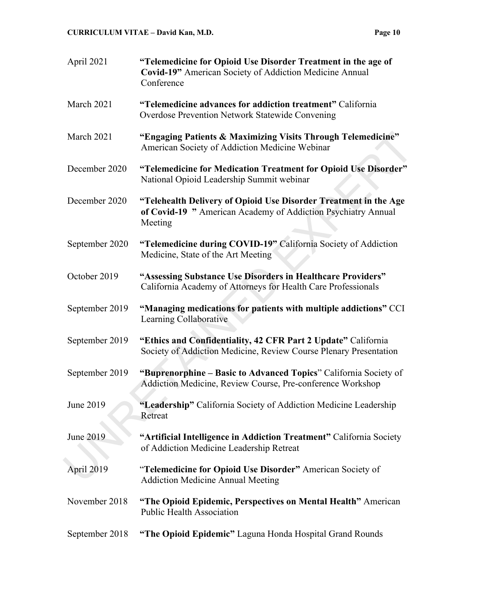| April 2021     | "Telemedicine for Opioid Use Disorder Treatment in the age of<br>Covid-19" American Society of Addiction Medicine Annual<br>Conference       |
|----------------|----------------------------------------------------------------------------------------------------------------------------------------------|
| March 2021     | "Telemedicine advances for addiction treatment" California<br>Overdose Prevention Network Statewide Convening                                |
| March 2021     | "Engaging Patients & Maximizing Visits Through Telemedicine"<br>American Society of Addiction Medicine Webinar                               |
| December 2020  | "Telemedicine for Medication Treatment for Opioid Use Disorder"<br>National Opioid Leadership Summit webinar                                 |
| December 2020  | "Telehealth Delivery of Opioid Use Disorder Treatment in the Age<br>of Covid-19 " American Academy of Addiction Psychiatry Annual<br>Meeting |
| September 2020 | "Telemedicine during COVID-19" California Society of Addiction<br>Medicine, State of the Art Meeting                                         |
| October 2019   | "Assessing Substance Use Disorders in Healthcare Providers"<br>California Academy of Attorneys for Health Care Professionals                 |
| September 2019 | "Managing medications for patients with multiple addictions" CCI<br>Learning Collaborative                                                   |
| September 2019 | "Ethics and Confidentiality, 42 CFR Part 2 Update" California<br>Society of Addiction Medicine, Review Course Plenary Presentation           |
| September 2019 | "Buprenorphine – Basic to Advanced Topics" California Society of<br>Addiction Medicine, Review Course, Pre-conference Workshop               |
| June 2019      | "Leadership" California Society of Addiction Medicine Leadership<br>Retreat                                                                  |
| June 2019      | "Artificial Intelligence in Addiction Treatment" California Society<br>of Addiction Medicine Leadership Retreat                              |
| April 2019     | "Telemedicine for Opioid Use Disorder" American Society of<br><b>Addiction Medicine Annual Meeting</b>                                       |
| November 2018  | "The Opioid Epidemic, Perspectives on Mental Health" American<br><b>Public Health Association</b>                                            |
| September 2018 | "The Opioid Epidemic" Laguna Honda Hospital Grand Rounds                                                                                     |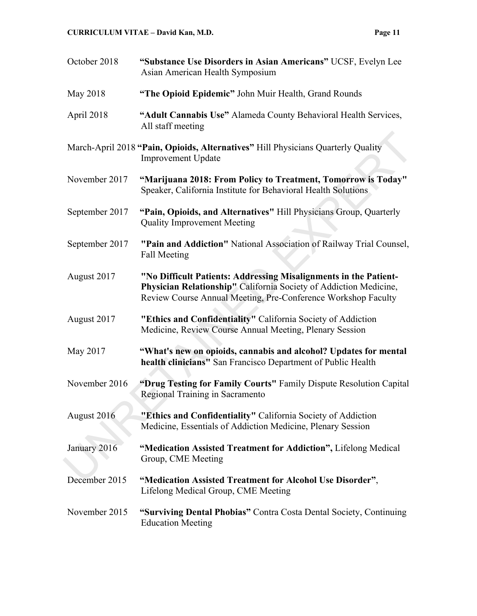| October 2018                                                                                                  | "Substance Use Disorders in Asian Americans" UCSF, Evelyn Lee<br>Asian American Health Symposium                                                                                                       |
|---------------------------------------------------------------------------------------------------------------|--------------------------------------------------------------------------------------------------------------------------------------------------------------------------------------------------------|
| May 2018                                                                                                      | "The Opioid Epidemic" John Muir Health, Grand Rounds                                                                                                                                                   |
| April 2018                                                                                                    | "Adult Cannabis Use" Alameda County Behavioral Health Services,<br>All staff meeting                                                                                                                   |
| March-April 2018 "Pain, Opioids, Alternatives" Hill Physicians Quarterly Quality<br><b>Improvement Update</b> |                                                                                                                                                                                                        |
| November 2017                                                                                                 | "Marijuana 2018: From Policy to Treatment, Tomorrow is Today"<br>Speaker, California Institute for Behavioral Health Solutions                                                                         |
| September 2017                                                                                                | "Pain, Opioids, and Alternatives" Hill Physicians Group, Quarterly<br><b>Quality Improvement Meeting</b>                                                                                               |
| September 2017                                                                                                | "Pain and Addiction" National Association of Railway Trial Counsel,<br>Fall Meeting                                                                                                                    |
| August 2017                                                                                                   | "No Difficult Patients: Addressing Misalignments in the Patient-<br>Physician Relationship" California Society of Addiction Medicine,<br>Review Course Annual Meeting, Pre-Conference Workshop Faculty |
| August 2017                                                                                                   | "Ethics and Confidentiality" California Society of Addiction<br>Medicine, Review Course Annual Meeting, Plenary Session                                                                                |
| May 2017                                                                                                      | "What's new on opioids, cannabis and alcohol? Updates for mental<br>health clinicians" San Francisco Department of Public Health                                                                       |
| November 2016                                                                                                 | "Drug Testing for Family Courts" Family Dispute Resolution Capital<br>Regional Training in Sacramento                                                                                                  |
| August 2016                                                                                                   | "Ethics and Confidentiality" California Society of Addiction<br>Medicine, Essentials of Addiction Medicine, Plenary Session                                                                            |
| January 2016                                                                                                  | "Medication Assisted Treatment for Addiction", Lifelong Medical<br>Group, CME Meeting                                                                                                                  |
| December 2015                                                                                                 | "Medication Assisted Treatment for Alcohol Use Disorder",<br>Lifelong Medical Group, CME Meeting                                                                                                       |
| November 2015                                                                                                 | "Surviving Dental Phobias" Contra Costa Dental Society, Continuing<br><b>Education Meeting</b>                                                                                                         |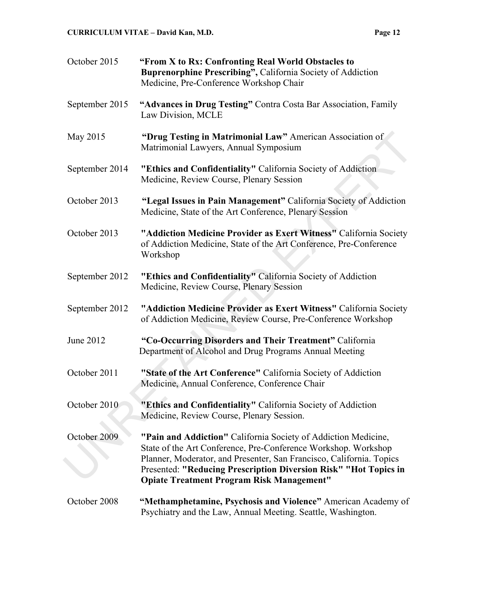| October 2015   | "From X to Rx: Confronting Real World Obstacles to<br>Buprenorphine Prescribing", California Society of Addiction<br>Medicine, Pre-Conference Workshop Chair                                                                                                                                                                     |
|----------------|----------------------------------------------------------------------------------------------------------------------------------------------------------------------------------------------------------------------------------------------------------------------------------------------------------------------------------|
| September 2015 | "Advances in Drug Testing" Contra Costa Bar Association, Family<br>Law Division, MCLE                                                                                                                                                                                                                                            |
| May 2015       | "Drug Testing in Matrimonial Law" American Association of<br>Matrimonial Lawyers, Annual Symposium                                                                                                                                                                                                                               |
| September 2014 | "Ethics and Confidentiality" California Society of Addiction<br>Medicine, Review Course, Plenary Session                                                                                                                                                                                                                         |
| October 2013   | "Legal Issues in Pain Management" California Society of Addiction<br>Medicine, State of the Art Conference, Plenary Session                                                                                                                                                                                                      |
| October 2013   | "Addiction Medicine Provider as Exert Witness" California Society<br>of Addiction Medicine, State of the Art Conference, Pre-Conference<br>Workshop                                                                                                                                                                              |
| September 2012 | "Ethics and Confidentiality" California Society of Addiction<br>Medicine, Review Course, Plenary Session                                                                                                                                                                                                                         |
| September 2012 | "Addiction Medicine Provider as Exert Witness" California Society<br>of Addiction Medicine, Review Course, Pre-Conference Workshop                                                                                                                                                                                               |
| June 2012      | "Co-Occurring Disorders and Their Treatment" California<br>Department of Alcohol and Drug Programs Annual Meeting                                                                                                                                                                                                                |
| October 2011   | "State of the Art Conference" California Society of Addiction<br>Medicine, Annual Conference, Conference Chair                                                                                                                                                                                                                   |
| October 2010   | "Ethics and Confidentiality" California Society of Addiction<br>Medicine, Review Course, Plenary Session.                                                                                                                                                                                                                        |
| October 2009   | "Pain and Addiction" California Society of Addiction Medicine,<br>State of the Art Conference, Pre-Conference Workshop. Workshop<br>Planner, Moderator, and Presenter, San Francisco, California. Topics<br>Presented: "Reducing Prescription Diversion Risk" "Hot Topics in<br><b>Opiate Treatment Program Risk Management"</b> |
| October 2008   | "Methamphetamine, Psychosis and Violence" American Academy of                                                                                                                                                                                                                                                                    |

Psychiatry and the Law, Annual Meeting. Seattle, Washington.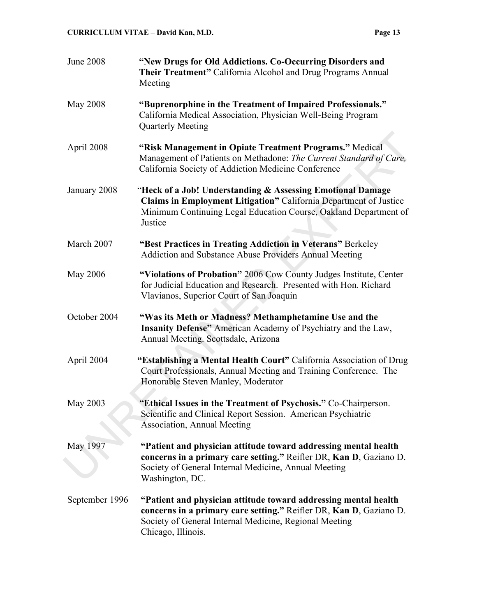| <b>June 2008</b> | "New Drugs for Old Addictions. Co-Occurring Disorders and<br>Their Treatment" California Alcohol and Drug Programs Annual<br>Meeting                                                                                  |
|------------------|-----------------------------------------------------------------------------------------------------------------------------------------------------------------------------------------------------------------------|
| <b>May 2008</b>  | "Buprenorphine in the Treatment of Impaired Professionals."<br>California Medical Association, Physician Well-Being Program<br>Quarterly Meeting                                                                      |
| April 2008       | "Risk Management in Opiate Treatment Programs." Medical<br>Management of Patients on Methadone: The Current Standard of Care,<br>California Society of Addiction Medicine Conference                                  |
| January 2008     | "Heck of a Job! Understanding & Assessing Emotional Damage<br>Claims in Employment Litigation" California Department of Justice<br>Minimum Continuing Legal Education Course, Oakland Department of<br>Justice        |
| March 2007       | "Best Practices in Treating Addiction in Veterans" Berkeley<br>Addiction and Substance Abuse Providers Annual Meeting                                                                                                 |
| <b>May 2006</b>  | "Violations of Probation" 2006 Cow County Judges Institute, Center<br>for Judicial Education and Research. Presented with Hon. Richard<br>Vlavianos, Superior Court of San Joaquin                                    |
| October 2004     | "Was its Meth or Madness? Methamphetamine Use and the<br>Insanity Defense" American Academy of Psychiatry and the Law,<br>Annual Meeting. Scottsdale, Arizona                                                         |
| April 2004       | "Establishing a Mental Health Court" California Association of Drug<br>Court Professionals, Annual Meeting and Training Conference. The<br>Honorable Steven Manley, Moderator                                         |
| <b>May 2003</b>  | "Ethical Issues in the Treatment of Psychosis." Co-Chairperson.<br>Scientific and Clinical Report Session. American Psychiatric<br><b>Association, Annual Meeting</b>                                                 |
| May 1997         | "Patient and physician attitude toward addressing mental health<br>concerns in a primary care setting." Reifler DR, Kan D, Gaziano D.<br>Society of General Internal Medicine, Annual Meeting<br>Washington, DC.      |
| September 1996   | "Patient and physician attitude toward addressing mental health<br>concerns in a primary care setting." Reifler DR, Kan D, Gaziano D.<br>Society of General Internal Medicine, Regional Meeting<br>Chicago, Illinois. |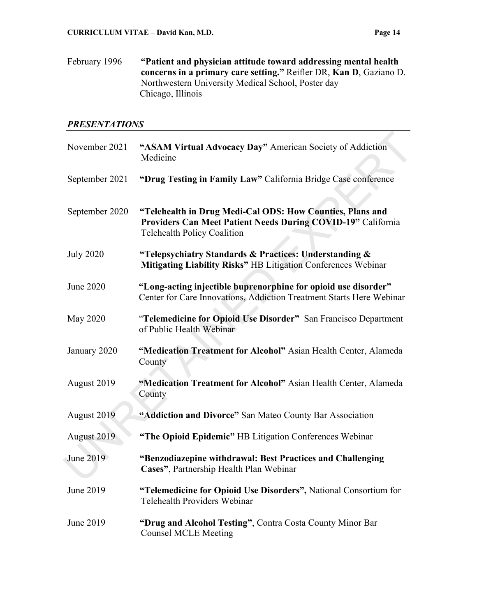February 1996 **"Patient and physician attitude toward addressing mental health concerns in a primary care setting."** Reifler DR, **Kan D**, Gaziano D. Northwestern University Medical School, Poster day Chicago, Illinois

#### *PRESENTATIONS*

| November 2021    | "ASAM Virtual Advocacy Day" American Society of Addiction<br>Medicine                                                                                           |
|------------------|-----------------------------------------------------------------------------------------------------------------------------------------------------------------|
| September 2021   | "Drug Testing in Family Law" California Bridge Case conference                                                                                                  |
| September 2020   | "Telehealth in Drug Medi-Cal ODS: How Counties, Plans and<br>Providers Can Meet Patient Needs During COVID-19" California<br><b>Telehealth Policy Coalition</b> |
| <b>July 2020</b> | "Telepsychiatry Standards & Practices: Understanding &<br>Mitigating Liability Risks" HB Litigation Conferences Webinar                                         |
| June 2020        | "Long-acting injectible buprenorphine for opioid use disorder"<br>Center for Care Innovations, Addiction Treatment Starts Here Webinar                          |
| May 2020         | "Telemedicine for Opioid Use Disorder" San Francisco Department<br>of Public Health Webinar                                                                     |
| January 2020     | "Medication Treatment for Alcohol" Asian Health Center, Alameda<br>County                                                                                       |
| August 2019      | "Medication Treatment for Alcohol" Asian Health Center, Alameda<br>County                                                                                       |
| August 2019      | "Addiction and Divorce" San Mateo County Bar Association                                                                                                        |
| August 2019      | "The Opioid Epidemic" HB Litigation Conferences Webinar                                                                                                         |
| June 2019        | "Benzodiazepine withdrawal: Best Practices and Challenging<br>Cases", Partnership Health Plan Webinar                                                           |
| June 2019        | "Telemedicine for Opioid Use Disorders", National Consortium for<br>Telehealth Providers Webinar                                                                |
| June 2019        | "Drug and Alcohol Testing", Contra Costa County Minor Bar<br><b>Counsel MCLE Meeting</b>                                                                        |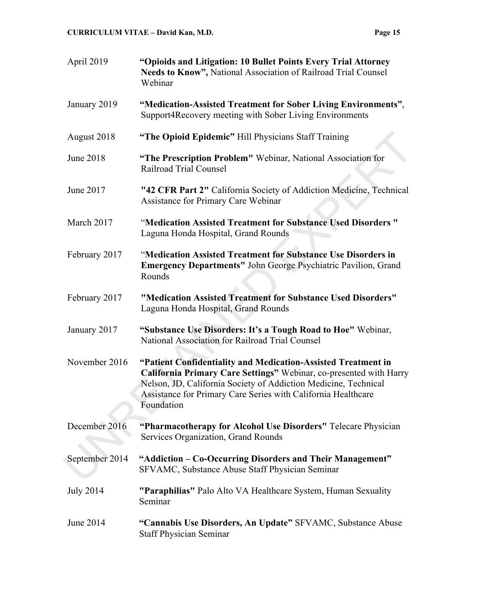| April 2019       | "Opioids and Litigation: 10 Bullet Points Every Trial Attorney<br>Needs to Know", National Association of Railroad Trial Counsel<br>Webinar                                                                                                                                           |
|------------------|---------------------------------------------------------------------------------------------------------------------------------------------------------------------------------------------------------------------------------------------------------------------------------------|
| January 2019     | "Medication-Assisted Treatment for Sober Living Environments",<br>Support4Recovery meeting with Sober Living Environments                                                                                                                                                             |
| August 2018      | "The Opioid Epidemic" Hill Physicians Staff Training                                                                                                                                                                                                                                  |
| <b>June 2018</b> | "The Prescription Problem" Webinar, National Association for<br>Railroad Trial Counsel                                                                                                                                                                                                |
| June 2017        | "42 CFR Part 2" California Society of Addiction Medicine, Technical<br>Assistance for Primary Care Webinar                                                                                                                                                                            |
| March 2017       | "Medication Assisted Treatment for Substance Used Disorders"<br>Laguna Honda Hospital, Grand Rounds                                                                                                                                                                                   |
| February 2017    | "Medication Assisted Treatment for Substance Use Disorders in<br><b>Emergency Departments"</b> John George Psychiatric Pavilion, Grand<br>Rounds                                                                                                                                      |
| February 2017    | "Medication Assisted Treatment for Substance Used Disorders"<br>Laguna Honda Hospital, Grand Rounds                                                                                                                                                                                   |
| January 2017     | "Substance Use Disorders: It's a Tough Road to Hoe" Webinar,<br>National Association for Railroad Trial Counsel                                                                                                                                                                       |
| November 2016    | "Patient Confidentiality and Medication-Assisted Treatment in<br>California Primary Care Settings" Webinar, co-presented with Harry<br>Nelson, JD, California Society of Addiction Medicine, Technical<br>Assistance for Primary Care Series with California Healthcare<br>Foundation |
| December 2016    | "Pharmacotherapy for Alcohol Use Disorders" Telecare Physician<br>Services Organization, Grand Rounds                                                                                                                                                                                 |
| September 2014   | "Addiction - Co-Occurring Disorders and Their Management"<br>SFVAMC, Substance Abuse Staff Physician Seminar                                                                                                                                                                          |
| <b>July 2014</b> | "Paraphilias" Palo Alto VA Healthcare System, Human Sexuality<br>Seminar                                                                                                                                                                                                              |
| June 2014        | "Cannabis Use Disorders, An Update" SFVAMC, Substance Abuse<br><b>Staff Physician Seminar</b>                                                                                                                                                                                         |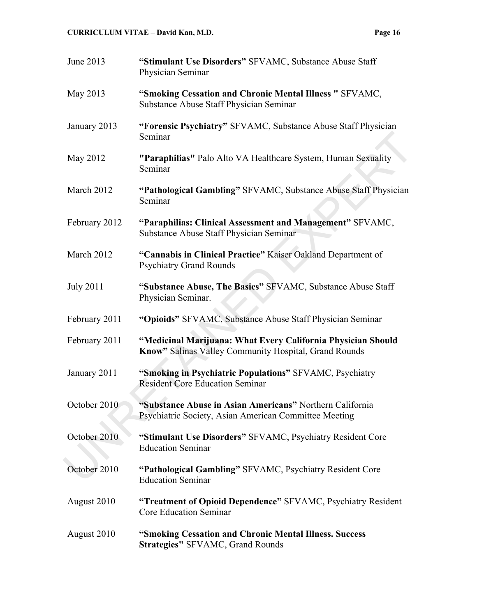| <br>., |  |
|--------|--|
|        |  |

| June 2013        | "Stimulant Use Disorders" SFVAMC, Substance Abuse Staff<br>Physician Seminar                                          |
|------------------|-----------------------------------------------------------------------------------------------------------------------|
| May 2013         | "Smoking Cessation and Chronic Mental Illness " SFVAMC,<br>Substance Abuse Staff Physician Seminar                    |
| January 2013     | "Forensic Psychiatry" SFVAMC, Substance Abuse Staff Physician<br>Seminar                                              |
| May 2012         | "Paraphilias" Palo Alto VA Healthcare System, Human Sexuality<br>Seminar                                              |
| March 2012       | "Pathological Gambling" SFVAMC, Substance Abuse Staff Physician<br>Seminar                                            |
| February 2012    | "Paraphilias: Clinical Assessment and Management" SFVAMC,<br>Substance Abuse Staff Physician Seminar                  |
| March 2012       | "Cannabis in Clinical Practice" Kaiser Oakland Department of<br><b>Psychiatry Grand Rounds</b>                        |
| <b>July 2011</b> | "Substance Abuse, The Basics" SFVAMC, Substance Abuse Staff<br>Physician Seminar.                                     |
| February 2011    | "Opioids" SFVAMC, Substance Abuse Staff Physician Seminar                                                             |
| February 2011    | "Medicinal Marijuana: What Every California Physician Should<br>Know" Salinas Valley Community Hospital, Grand Rounds |
| January 2011     | "Smoking in Psychiatric Populations" SFVAMC, Psychiatry<br><b>Resident Core Education Seminar</b>                     |
| October 2010     | "Substance Abuse in Asian Americans" Northern California<br>Psychiatric Society, Asian American Committee Meeting     |
| October 2010     | "Stimulant Use Disorders" SFVAMC, Psychiatry Resident Core<br><b>Education Seminar</b>                                |
| October 2010     | "Pathological Gambling" SFVAMC, Psychiatry Resident Core<br><b>Education Seminar</b>                                  |
| August 2010      | "Treatment of Opioid Dependence" SFVAMC, Psychiatry Resident<br><b>Core Education Seminar</b>                         |
| August 2010      | "Smoking Cessation and Chronic Mental Illness. Success<br><b>Strategies" SFVAMC, Grand Rounds</b>                     |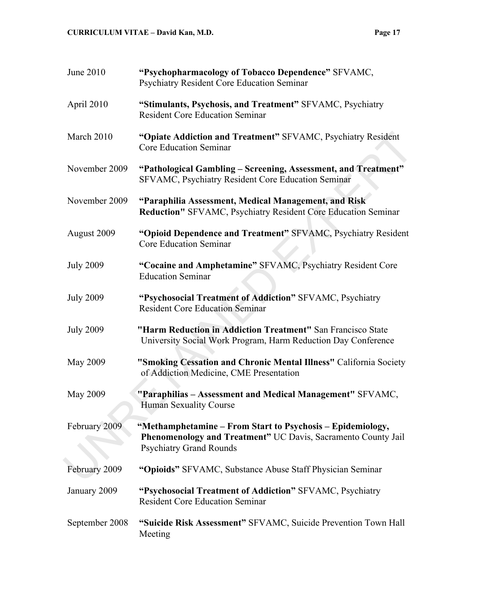| <b>June 2010</b> | "Psychopharmacology of Tobacco Dependence" SFVAMC,<br><b>Psychiatry Resident Core Education Seminar</b>                                                       |
|------------------|---------------------------------------------------------------------------------------------------------------------------------------------------------------|
| April 2010       | "Stimulants, Psychosis, and Treatment" SFVAMC, Psychiatry<br><b>Resident Core Education Seminar</b>                                                           |
| March 2010       | "Opiate Addiction and Treatment" SFVAMC, Psychiatry Resident<br><b>Core Education Seminar</b>                                                                 |
| November 2009    | "Pathological Gambling – Screening, Assessment, and Treatment"<br>SFVAMC, Psychiatry Resident Core Education Seminar                                          |
| November 2009    | "Paraphilia Assessment, Medical Management, and Risk<br>Reduction" SFVAMC, Psychiatry Resident Core Education Seminar                                         |
| August 2009      | "Opioid Dependence and Treatment" SFVAMC, Psychiatry Resident<br><b>Core Education Seminar</b>                                                                |
| <b>July 2009</b> | "Cocaine and Amphetamine" SFVAMC, Psychiatry Resident Core<br><b>Education Seminar</b>                                                                        |
| <b>July 2009</b> | "Psychosocial Treatment of Addiction" SFVAMC, Psychiatry<br><b>Resident Core Education Seminar</b>                                                            |
| <b>July 2009</b> | "Harm Reduction in Addiction Treatment" San Francisco State<br>University Social Work Program, Harm Reduction Day Conference                                  |
| May 2009         | "Smoking Cessation and Chronic Mental Illness" California Society<br>of Addiction Medicine, CME Presentation                                                  |
| May 2009         | "Paraphilias - Assessment and Medical Management" SFVAMC,<br><b>Human Sexuality Course</b>                                                                    |
| February 2009    | "Methamphetamine – From Start to Psychosis – Epidemiology,<br>Phenomenology and Treatment" UC Davis, Sacramento County Jail<br><b>Psychiatry Grand Rounds</b> |
| February 2009    | "Opioids" SFVAMC, Substance Abuse Staff Physician Seminar                                                                                                     |
| January 2009     | "Psychosocial Treatment of Addiction" SFVAMC, Psychiatry<br><b>Resident Core Education Seminar</b>                                                            |
| September 2008   | "Suicide Risk Assessment" SFVAMC, Suicide Prevention Town Hall<br>Meeting                                                                                     |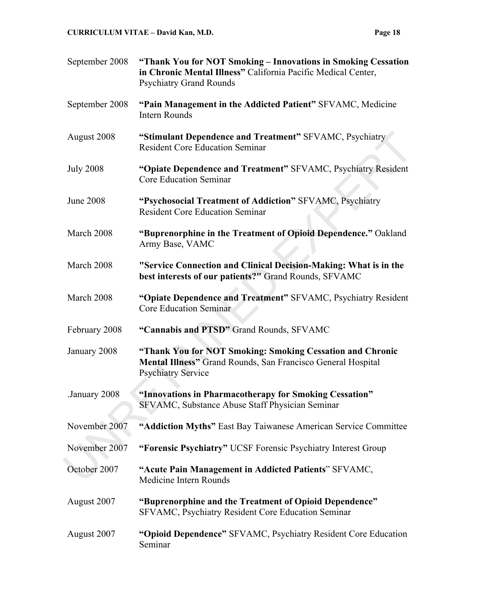| September 2008   | "Thank You for NOT Smoking - Innovations in Smoking Cessation<br>in Chronic Mental Illness" California Pacific Medical Center,<br><b>Psychiatry Grand Rounds</b> |
|------------------|------------------------------------------------------------------------------------------------------------------------------------------------------------------|
| September 2008   | "Pain Management in the Addicted Patient" SFVAMC, Medicine<br><b>Intern Rounds</b>                                                                               |
| August 2008      | "Stimulant Dependence and Treatment" SFVAMC, Psychiatry<br><b>Resident Core Education Seminar</b>                                                                |
| <b>July 2008</b> | "Opiate Dependence and Treatment" SFVAMC, Psychiatry Resident<br><b>Core Education Seminar</b>                                                                   |
| <b>June 2008</b> | "Psychosocial Treatment of Addiction" SFVAMC, Psychiatry<br><b>Resident Core Education Seminar</b>                                                               |
| March 2008       | "Buprenorphine in the Treatment of Opioid Dependence." Oakland<br>Army Base, VAMC                                                                                |
| March 2008       | "Service Connection and Clinical Decision-Making: What is in the<br>best interests of our patients?" Grand Rounds, SFVAMC                                        |
| March 2008       | "Opiate Dependence and Treatment" SFVAMC, Psychiatry Resident<br><b>Core Education Seminar</b>                                                                   |
| February 2008    | "Cannabis and PTSD" Grand Rounds, SFVAMC                                                                                                                         |
| January 2008     | "Thank You for NOT Smoking: Smoking Cessation and Chronic<br>Mental Illness" Grand Rounds, San Francisco General Hospital<br><b>Psychiatry Service</b>           |
| January 2008     | "Innovations in Pharmacotherapy for Smoking Cessation"<br>SFVAMC, Substance Abuse Staff Physician Seminar                                                        |
| November 2007    | "Addiction Myths" East Bay Taiwanese American Service Committee                                                                                                  |
| November 2007    | "Forensic Psychiatry" UCSF Forensic Psychiatry Interest Group                                                                                                    |
| October 2007     | "Acute Pain Management in Addicted Patients" SFVAMC,<br>Medicine Intern Rounds                                                                                   |
| August 2007      | "Buprenorphine and the Treatment of Opioid Dependence"<br>SFVAMC, Psychiatry Resident Core Education Seminar                                                     |
| August 2007      | "Opioid Dependence" SFVAMC, Psychiatry Resident Core Education<br>Seminar                                                                                        |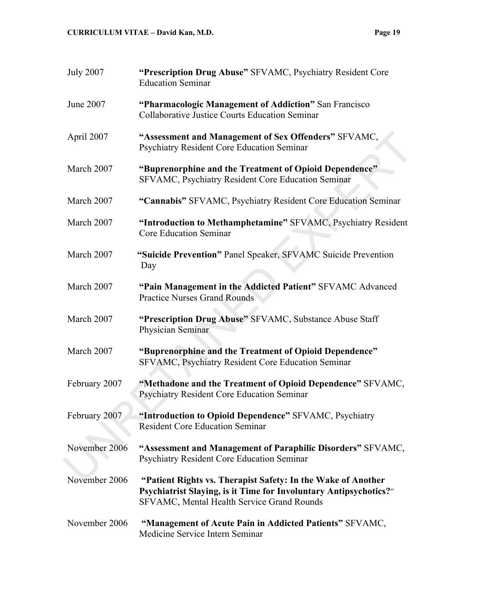| <b>July 2007</b> | "Prescription Drug Abuse" SFVAMC, Psychiatry Resident Core<br><b>Education Seminar</b>                                                                                          |
|------------------|---------------------------------------------------------------------------------------------------------------------------------------------------------------------------------|
| June 2007        | "Pharmacologic Management of Addiction" San Francisco<br><b>Collaborative Justice Courts Education Seminar</b>                                                                  |
| April 2007       | "Assessment and Management of Sex Offenders" SFVAMC,<br><b>Psychiatry Resident Core Education Seminar</b>                                                                       |
| March 2007       | "Buprenorphine and the Treatment of Opioid Dependence"<br>SFVAMC, Psychiatry Resident Core Education Seminar                                                                    |
| March 2007       | "Cannabis" SFVAMC, Psychiatry Resident Core Education Seminar                                                                                                                   |
| March 2007       | "Introduction to Methamphetamine" SFVAMC, Psychiatry Resident<br><b>Core Education Seminar</b>                                                                                  |
| March 2007       | "Suicide Prevention" Panel Speaker, SFVAMC Suicide Prevention<br>Day                                                                                                            |
| March 2007       | "Pain Management in the Addicted Patient" SFVAMC Advanced<br><b>Practice Nurses Grand Rounds</b>                                                                                |
| March 2007       | "Prescription Drug Abuse" SFVAMC, Substance Abuse Staff<br>Physician Seminar                                                                                                    |
| March 2007       | "Buprenorphine and the Treatment of Opioid Dependence"<br>SFVAMC, Psychiatry Resident Core Education Seminar                                                                    |
| February 2007    | "Methadone and the Treatment of Opioid Dependence" SFVAMC,<br><b>Psychiatry Resident Core Education Seminar</b>                                                                 |
| February 2007    | "Introduction to Opioid Dependence" SFVAMC, Psychiatry<br><b>Resident Core Education Seminar</b>                                                                                |
| November 2006    | "Assessment and Management of Paraphilic Disorders" SFVAMC,<br><b>Psychiatry Resident Core Education Seminar</b>                                                                |
| November 2006    | "Patient Rights vs. Therapist Safety: In the Wake of Another<br>Psychiatrist Slaying, is it Time for Involuntary Antipsychotics?"<br>SFVAMC, Mental Health Service Grand Rounds |
| November 2006    | "Management of Acute Pain in Addicted Patients" SFVAMC,<br>Medicine Service Intern Seminar                                                                                      |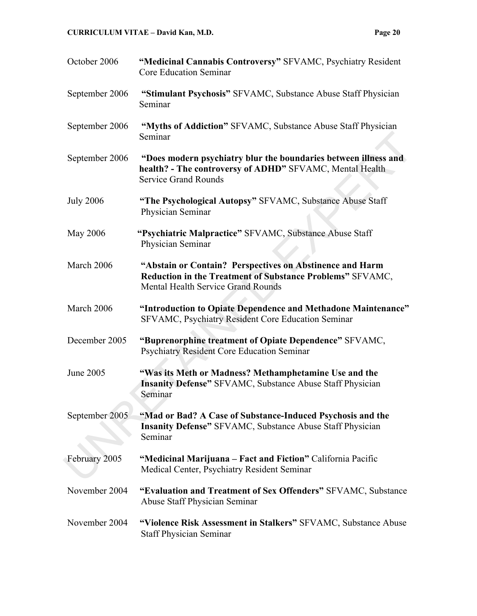| October 2006     | "Medicinal Cannabis Controversy" SFVAMC, Psychiatry Resident<br><b>Core Education Seminar</b>                                                                      |
|------------------|--------------------------------------------------------------------------------------------------------------------------------------------------------------------|
| September 2006   | "Stimulant Psychosis" SFVAMC, Substance Abuse Staff Physician<br>Seminar                                                                                           |
| September 2006   | "Myths of Addiction" SFVAMC, Substance Abuse Staff Physician<br>Seminar                                                                                            |
| September 2006   | "Does modern psychiatry blur the boundaries between illness and<br>health? - The controversy of ADHD" SFVAMC, Mental Health<br><b>Service Grand Rounds</b>         |
| <b>July 2006</b> | "The Psychological Autopsy" SFVAMC, Substance Abuse Staff<br>Physician Seminar                                                                                     |
| <b>May 2006</b>  | "Psychiatric Malpractice" SFVAMC, Substance Abuse Staff<br>Physician Seminar                                                                                       |
| March 2006       | "Abstain or Contain? Perspectives on Abstinence and Harm<br>Reduction in the Treatment of Substance Problems" SFVAMC,<br><b>Mental Health Service Grand Rounds</b> |
| March 2006       | "Introduction to Opiate Dependence and Methadone Maintenance"<br>SFVAMC, Psychiatry Resident Core Education Seminar                                                |
| December 2005    | "Buprenorphine treatment of Opiate Dependence" SFVAMC,<br><b>Psychiatry Resident Core Education Seminar</b>                                                        |
| June 2005        | "Was its Meth or Madness? Methamphetamine Use and the<br><b>Insanity Defense"</b> SFVAMC, Substance Abuse Staff Physician<br>Seminar                               |
| September 2005   | "Mad or Bad? A Case of Substance-Induced Psychosis and the<br><b>Insanity Defense"</b> SFVAMC, Substance Abuse Staff Physician<br>Seminar                          |
| February 2005    | "Medicinal Marijuana – Fact and Fiction" California Pacific<br>Medical Center, Psychiatry Resident Seminar                                                         |
| November 2004    | "Evaluation and Treatment of Sex Offenders" SFVAMC, Substance<br>Abuse Staff Physician Seminar                                                                     |
| November 2004    | "Violence Risk Assessment in Stalkers" SFVAMC, Substance Abuse<br><b>Staff Physician Seminar</b>                                                                   |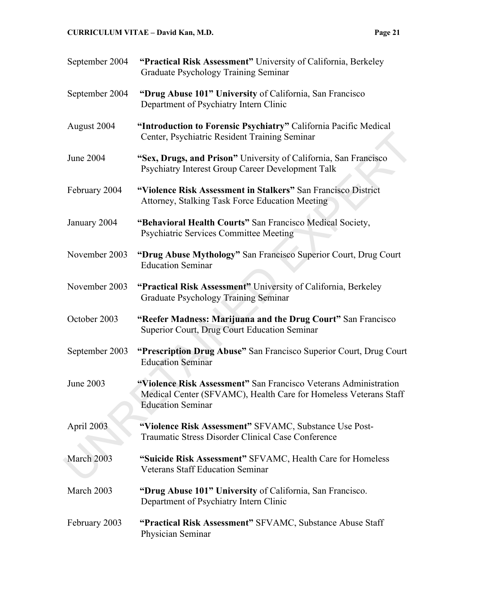| September 2004 | "Practical Risk Assessment" University of California, Berkeley<br>Graduate Psychology Training Seminar                                                           |
|----------------|------------------------------------------------------------------------------------------------------------------------------------------------------------------|
| September 2004 | "Drug Abuse 101" University of California, San Francisco<br>Department of Psychiatry Intern Clinic                                                               |
| August 2004    | "Introduction to Forensic Psychiatry" California Pacific Medical<br>Center, Psychiatric Resident Training Seminar                                                |
| June 2004      | "Sex, Drugs, and Prison" University of California, San Francisco<br>Psychiatry Interest Group Career Development Talk                                            |
| February 2004  | "Violence Risk Assessment in Stalkers" San Francisco District<br>Attorney, Stalking Task Force Education Meeting                                                 |
| January 2004   | "Behavioral Health Courts" San Francisco Medical Society,<br>Psychiatric Services Committee Meeting                                                              |
| November 2003  | "Drug Abuse Mythology" San Francisco Superior Court, Drug Court<br><b>Education Seminar</b>                                                                      |
| November 2003  | "Practical Risk Assessment" University of California, Berkeley<br>Graduate Psychology Training Seminar                                                           |
| October 2003   | "Reefer Madness: Marijuana and the Drug Court" San Francisco<br>Superior Court, Drug Court Education Seminar                                                     |
| September 2003 | "Prescription Drug Abuse" San Francisco Superior Court, Drug Court<br><b>Education Seminar</b>                                                                   |
| June 2003      | "Violence Risk Assessment" San Francisco Veterans Administration<br>Medical Center (SFVAMC), Health Care for Homeless Veterans Staff<br><b>Education Seminar</b> |
| April 2003     | "Violence Risk Assessment" SFVAMC, Substance Use Post-<br>Traumatic Stress Disorder Clinical Case Conference                                                     |
| March 2003     | "Suicide Risk Assessment" SFVAMC, Health Care for Homeless<br><b>Veterans Staff Education Seminar</b>                                                            |
| March 2003     | "Drug Abuse 101" University of California, San Francisco.<br>Department of Psychiatry Intern Clinic                                                              |
| February 2003  | "Practical Risk Assessment" SFVAMC, Substance Abuse Staff<br>Physician Seminar                                                                                   |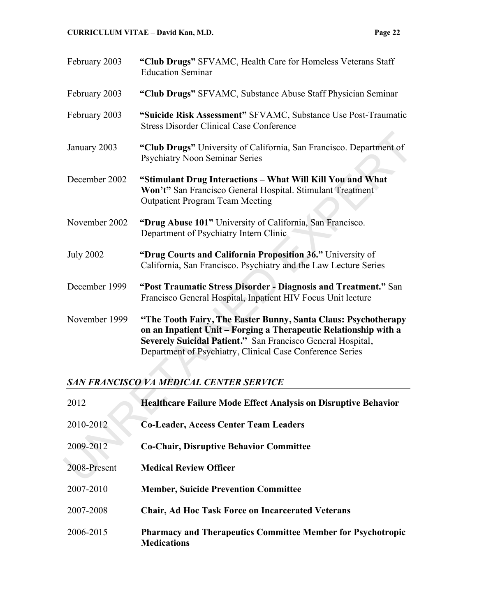| February 2003                                  | "Club Drugs" SFVAMC, Health Care for Homeless Veterans Staff<br><b>Education Seminar</b>                                                                                                                                                                       |  |
|------------------------------------------------|----------------------------------------------------------------------------------------------------------------------------------------------------------------------------------------------------------------------------------------------------------------|--|
| February 2003                                  | "Club Drugs" SFVAMC, Substance Abuse Staff Physician Seminar                                                                                                                                                                                                   |  |
| February 2003                                  | "Suicide Risk Assessment" SFVAMC, Substance Use Post-Traumatic<br><b>Stress Disorder Clinical Case Conference</b>                                                                                                                                              |  |
| January 2003                                   | "Club Drugs" University of California, San Francisco. Department of<br><b>Psychiatry Noon Seminar Series</b>                                                                                                                                                   |  |
| December 2002                                  | "Stimulant Drug Interactions - What Will Kill You and What<br>Won't" San Francisco General Hospital. Stimulant Treatment<br><b>Outpatient Program Team Meeting</b>                                                                                             |  |
| November 2002                                  | "Drug Abuse 101" University of California, San Francisco.<br>Department of Psychiatry Intern Clinic                                                                                                                                                            |  |
| <b>July 2002</b>                               | "Drug Courts and California Proposition 36." University of<br>California, San Francisco. Psychiatry and the Law Lecture Series                                                                                                                                 |  |
| December 1999                                  | "Post Traumatic Stress Disorder - Diagnosis and Treatment." San<br>Francisco General Hospital, Inpatient HIV Focus Unit lecture                                                                                                                                |  |
| November 1999                                  | "The Tooth Fairy, The Easter Bunny, Santa Claus: Psychotherapy<br>on an Inpatient Unit - Forging a Therapeutic Relationship with a<br>Severely Suicidal Patient." San Francisco General Hospital,<br>Department of Psychiatry, Clinical Case Conference Series |  |
| <b>SAN FRANCISCO VA MEDICAL CENTER SERVICE</b> |                                                                                                                                                                                                                                                                |  |
| 2012                                           | Healthcare Failure Mode Effect Analysis on Disruptive Behavior                                                                                                                                                                                                 |  |
| 2010-2012                                      | <b>Co-Leader, Access Center Team Leaders</b>                                                                                                                                                                                                                   |  |
| 2009-2012                                      | <b>Co-Chair, Disruptive Behavior Committee</b>                                                                                                                                                                                                                 |  |
| 2008-Present                                   | <b>Medical Review Officer</b>                                                                                                                                                                                                                                  |  |

# *SAN FRANCISCO VA MEDICAL CENTER SERVICE*

| 2012         | <b>Healthcare Failure Mode Effect Analysis on Disruptive Behavior</b>                    |
|--------------|------------------------------------------------------------------------------------------|
| 2010-2012    | <b>Co-Leader, Access Center Team Leaders</b>                                             |
| 2009-2012    | <b>Co-Chair, Disruptive Behavior Committee</b>                                           |
| 2008-Present | <b>Medical Review Officer</b>                                                            |
| 2007-2010    | <b>Member, Suicide Prevention Committee</b>                                              |
| 2007-2008    | <b>Chair, Ad Hoc Task Force on Incarcerated Veterans</b>                                 |
| 2006-2015    | <b>Pharmacy and Therapeutics Committee Member for Psychotropic</b><br><b>Medications</b> |